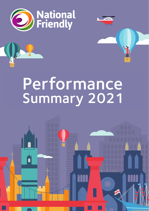

## **Parformance** Fig. 1911.191199<br>**Filmmary** 2021 **For the Year Ended 31 December 2021 Performance** Summary 2021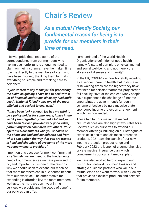

## **Chair's Review**

*As a mutual Friendly Society, our fundamental reason for being is to provide for our members in their time of need.*

It is with pride that I read some of the correspondence from our members, who having been unfortunate enough to need to claim on their insurance, have then taken time to write directly to the members of staff who have been involved, thanking them for making everything so simple and for taking care to help them.

*"I just wanted to say thank you for processing the claim so quickly. I have had to deal with a lot of financial institutions since my husband's death. National Friendly was one of the most efficient and easiest to deal with."*

*"I have been lucky enough [as has my wife] to be a policy holder for some years, I have in the last 4 years regrettably claimed a lot and you have been fair and provided very good value, particularly when compared with others. Your operatives/consultants who you speak to on the phone are kind and considerate and from what I can gather, the way that you are treated is head and shoulders above some of the more well-known health providers"*

I mention this because for me it confirms that as a Society we are meeting the fundamental need of our members as we have promised to do, and importantly it is one of the reasons why we should seek to expand our reach so that more members can in due course benefit from our expertise. The other motive for expanding is affordability; the more members we have, the more we can invest in the services we provide and the scope of benefits our policies can offer.

I am reminded of the World Health Organisation's definition of good health, namely "a state of complete physical, mental and social well-being and not merely the absence of disease and infirmity".

In the UK, COVID-19 is now hopefully receding as a serious threat to health, but in its wake NHS waiting times are the highest they have ever been for certain treatments, projected to fall back by 2025 at the earliest. Many people have experienced the challenge of income uncertainty, the government's furlough scheme effectively being a massive state sponsored income protection arrangement which has now ended.

These two factors mean that market circumstances are also highly favourable for a Society such as ourselves to expand our member offerings, building on our strengths of expertise in health and sickness protection products. 2021 saw the launch of our new income protection product range and in February 2022 the launch of a comprehensive private medical insurance plan which complements our current medical plan.

We have also worked hard to expand our distribution network, sourcing brokers and strategic business partners who value our mutual ethos and want to work with a Society that provides excellent products and services for its members.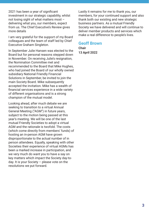2021 has been a year of significant investment in our strategic capability, whilst not losing sight of what matters most – delivering what you, our members, expect from us. The Chief Executive's Review gives more details

I am very grateful for the support of my Board colleagues and the team of staff led by Chief Executive Graham Singleton.

In September Julie Hansen was elected to the Board but for personal reasons stepped down in November. On receiving Julie's resignation, the Nomination Committee met and recommended to the Board that Mike Hughes, who had joined the Board of our wholly owned subsidiary National Friendly Financial Solutions in September, be invited to join the main Society Board. Mike subsequently accepted the invitation. Mike has a wealth of financial services experience in a wide variety of different organisations and is a strong champion of the mutual model.

Looking ahead, after much debate we are seeking to transition to a virtual Annual General Meeting ("AGM") in future years, subject to the motion being passed at this year's meeting. We will be one of the last mutual Friendly Societies to adopt a virtual AGM and the rationale is twofold. The costs (which come directly from members' funds) of hosting an in-person AGM have grown disproportionate to the actual number of in person attendees. Equally, speaking with other Societies their experience of virtual AGMs has been a marked increase in participation, and we very much do want you to have a say on key matters which impact the Society day-today. It is your Society – please vote on the resolutions we put forward.

Lastly it remains for me to thank you, our members, for your continued support and also thank both our existing and new strategic business partners. As a mutual Friendly Society we have delivered and will continue to deliver member products and services which make a real difference to people's lives.

### **Geoff Brown**

**Chair 13 April 2022**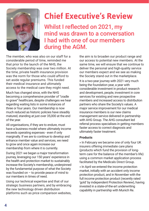

# **Chief Executive's Review**

Whilst I reflected on 2021, my mind was drawn to a conversation I had with one of our members during the AGM.

The member, who was also on our staff for a considerable period of time, reminded me that prior to the launch of the NHS, the Society membership was over two million. At the time, private health insurance provision was the norm for those who could afford to set aside regular premiums. This funded their medical insurance and ultimately access to the medical care they might need.

Much has changed since, with the NHS becoming a comprehensive provider of "cradle to grave" healthcare, despite challenges we hear regarding waiting lists in some instances of three or four years. Our membership is now much reduced as historic policies have steadily matured, standing at just over 35,000 at the end of the year.

All organisations, if they are to endure, must have a business model where ultimately income exceeds operating expenses - even if only marginally. If we are to continue to develop and enhance member value and services, we need to grow and once again increase our membership from where it is currently.

During 2021 we began a major transformation journey, leveraging our 150 years' experience in the health and protection market to sustainably increase the Society's membership, underpinned by the fundamental purpose of what the Society was founded on – to provide peace of mind to our members in times of need.

Using our technical expertise and that of our strategic business partners, and by embracing the new technology driven distribution platforms such as price comparison websites, the aim is to broaden our product range and our access to potential new members. At the same time, we will ensure that we continue to deliver the personal and high-quality service our members expect and we see as making the Society stand out in the marketplace.

It is a two-year journey with 2021 very much being the foundation year, a year with considerable investment in product research and development, people, investment in core services for existing and new prospective members and increased access to distribution partners who share the Society's values. A major service improvement for our medical insurance members is our new claims management service delivered in partnership with AHG Group. The AHG consultant led referral process specialises in getting members faster access to correct diagnosis and ultimately faster treatment.

#### **Products**

» In February we became one of only four UK insurers offering immediate care plans (products which fund the provision of longterm care for the balance of the member's life) using a common market application process facilitated by the Medicals Direct Group.

» In April we entered the income protection market, initially with an accident only income protection product, and in November with the full income protection product (recently rated 'gold' by independent Protection Review), having invested in a state-of-the-art underwriting capability in partnership with Munich Re.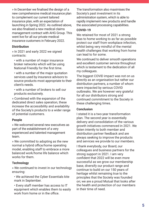» In December we finalised the design of a new comprehensive medical insurance plan to complement our current tailored insurance plan, with an expectation of launching in Spring 2022. As outlined above, we also finalised a new medical claims management contract with AHG Group. This went live for all our private medical insurance customers in February 2022.

#### **Distribution**

» In 2021 and early 2022 we signed contracts:

• with a number of major insurance broker networks which will be using National Friendly for the first time.

• with a number of the major quotation services used by insurance advisors to source products most appropriate to their client's needs.

• with a number of brokers to sell our products exclusively.

» Combined with the expansion of the dedicated direct sales operation, these increase the accessibility and availability of the Society's products to a wider range of potential customers.

#### **People**

» We welcomed several new executives as part of the establishment of a very experienced and talented management team.

» We committed to adopting as the new normal a hybrid office/home operating model, enabling staff to embrace a more balanced work/home life balance which works for them.

#### **Technology**

» We continued to invest in our technology ensuring:

• We achieved the Cyber Essentials kite mark in September.

• Every staff member has access to IT equipment which enables them to easily work from home or in the office.

The transformation also maximises the Society's past investment in its administration system, which is able to rapidly implement new products and handle the associated processing capabilities.

#### **COVID-19**

We retained for most of 2021 a strong bias to home working to as far as possible protect our staff from workplace infection, whilst being very mindful of the mental health challenges that working from home can lead to for some.

We continued to deliver smooth operations and excellent customer service throughout which is testament to the dedication of all my colleagues.

The biggest COVID impact was not on us directly as an organisation but rather our distribution partners, a number of whom were impacted by serious COVID outbreaks. We are however very grateful for all our distributors strong and continued commitment to the Society in these challenging times.

#### **Conclusion**

I stated it is a two-year transformation plan. The second year is essentially delivery and consolidation of the various growth initiatives commenced in 2021. We listen intently to both member and distribution partner feedback and are always seeking to improve the products and services we provide to our members.

I thank everybody, our Board, our colleagues and business partners for the strong support in 2021. I am very confident that 2022 will be even more successful as we grow our membership base, diversify our product range and continue to build on our 150 years of heritage whilst remaining true to the principles that the Society was founded on; we are a proud Mutual that looks after the health and protection of our members in their time of need.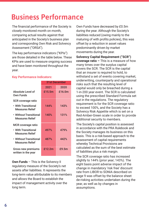## Business Performance

The financial performance of the Society is closely monitored month on month, comparing actual results against that anticipated in the Society's business plan and corresponding Own Risk and Solvency Assessment ("ORSA").

The key performance indicators ("KPIs") are those detailed in the table below. These KPIs are used to measure ongoing success and have been monitored throughout the year.

#### **Key Performance Indicators:**

|                                                  | <b>31st December</b> |        |
|--------------------------------------------------|----------------------|--------|
|                                                  | 2021                 | 2020   |
| Absolute Level of<br>Own Funds                   | £15.5m               | £16.0m |
| SCR coverage ratio                               |                      |        |
| • With Transitional<br><b>Measures Relief</b>    | 144%                 | 143%   |
| • Without Transitional<br><b>Measures Relief</b> | 140%                 | 131%   |
| <b>MCR</b> coverage ratio                        |                      |        |
| • With Transitional<br><b>Measures Relief</b>    | 497%                 | 479%   |
| • Without Transitional<br><b>Measures Relief</b> | 487%                 | 442%   |
| Gross new premiums<br>written in the year        | £12.2m               | £9.5m  |

**Own Funds** – This is the Solvency II regulatory measure of the Society's net assets after liabilities. It represents the long-term value attributable to its members and allows the Board to establish the impact of management activity over the long term.

Own Funds have decreased by £0.5m during the year. Although the Society's liabilities reduced (owing mainly to the maturing of with profits policies), this was offset by a reduction in asset values predominantly driven by market movements during the year.

**Solvency Capital Requirement ("SCR") coverage ratio –** This is a measure of how many times over the surplus capital covers the SCR. The SCR is the capital that an insurer is required to hold, to withstand a set of events covering market, underwriting, counterparty and operational risks such that the resulting level of capital would only be breached during a 1-in-200 year event. The SCR is calculated using the prescribed Standard Formula set out in the regulations. The regulatory requirement is for the SCR coverage ratio to exceed 100%, and the Society has a Solvency Risk Appetite which is set on a Red-Amber-Green scale in order to provide additional security to members.

The Society's capital position is assessed in accordance with the PRA Rulebook and the Society manages its business on this basis. This is a risk-based approach to the assessment of capital requirements whereby Technical Provisions are calculated as the sum of the best estimate of liabilities plus a risk margin.

The SCR coverage ratio has increased slightly to 144% (prior year; 143%). The eight basis point adverse impact of the change in mandatory 'risk free' discount rate from LIBOR to SONIA described on page 9 was offset by the balance sheet de-risking activities undertaken during the year, as well as by changes in assumptions.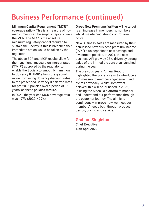# Business Performance (continued)

**Minimum Capital Requirement ("MCR") coverage ratio –** This is a measure of how many times over the surplus capital covers the MCR. The MCR is the absolute minimum regulatory capital required to sustain the Society; if this is breached then immediate action would be taken by the regulator.

The above SCR and MCR results allow for the transitional measure on interest rates ('TMIR') approved by the regulator to enable the Society to smoothly transition to Solvency II. TMIR allows the gradual move from using Solvency discount rates to the prescribed Solvency II risk free rates for pre-2016 policies over a period of 16 years, as these **policies mature.**

In 2021, the year end MCR coverage ratio was 497% (2020; 479%).

**Gross New Premiums Written –** The target is an increase in membership numbers whilst maintaining strong control over costs.

New Business sales are measured by their annualised new business premium income ("API") plus deposits to new savings and investment policies. In 2021, the new business API grew by 28%, driven by strong sales of the immediate care plan launched during the year.

The previous year's Annual Report highlighted the Society's aim to introduce a KPI measuring member engagement and overall advocacy. Whilst somewhat delayed, this will be launched in 2022, utilising the Medallia platform to monitor and understand our performance through the customer journey. The aim is to continuously improve how we meet our members' needs both through product design, pricing and service.

### **Graham Singleton**

**Chief Executive 13th April 2022**